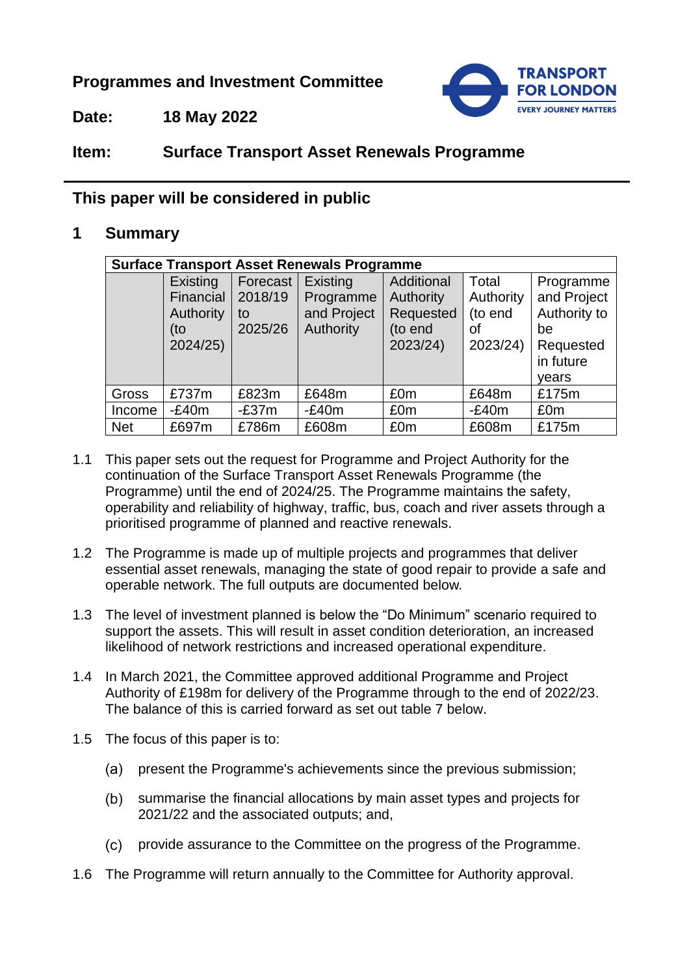**Programmes and Investment Committee**



**Date: 18 May 2022**

# **Item: Surface Transport Asset Renewals Programme**

## **This paper will be considered in public**

## **1 Summary**

| <b>Surface Transport Asset Renewals Programme</b> |           |          |             |            |           |              |  |  |  |
|---------------------------------------------------|-----------|----------|-------------|------------|-----------|--------------|--|--|--|
|                                                   | Existing  | Forecast | Existing    | Additional | Total     | Programme    |  |  |  |
|                                                   | Financial | 2018/19  | Programme   | Authority  | Authority | and Project  |  |  |  |
|                                                   | Authority | to       | and Project | Requested  | (to end   | Authority to |  |  |  |
|                                                   | (to       | 2025/26  | Authority   | (to end    | οf        | be           |  |  |  |
|                                                   | 2024/25)  |          |             | 2023/24)   | 2023/24)  | Requested    |  |  |  |
|                                                   |           |          |             |            |           | in future    |  |  |  |
|                                                   |           |          |             |            |           | years        |  |  |  |
| Gross                                             | £737m     | £823m    | £648m       | £0m        | £648m     | £175m        |  |  |  |
| Income                                            | $-E40m$   | $-E37m$  | $-E40m$     | £0m        | $-E40m$   | £0m          |  |  |  |
| <b>Net</b>                                        | £697m     | £786m    | £608m       | £0m        | £608m     | £175m        |  |  |  |

- 1.1 This paper sets out the request for Programme and Project Authority for the continuation of the Surface Transport Asset Renewals Programme (the Programme) until the end of 2024/25. The Programme maintains the safety, operability and reliability of highway, traffic, bus, coach and river assets through a prioritised programme of planned and reactive renewals.
- 1.2 The Programme is made up of multiple projects and programmes that deliver essential asset renewals, managing the state of good repair to provide a safe and operable network. The full outputs are documented below*.*
- 1.3 The level of investment planned is below the "Do Minimum" scenario required to support the assets. This will result in asset condition deterioration, an increased likelihood of network restrictions and increased operational expenditure.
- 1.4 In March 2021, the Committee approved additional Programme and Project Authority of £198m for delivery of the Programme through to the end of 2022/23. The balance of this is carried forward as set out table 7 below.
- 1.5 The focus of this paper is to:
	- (a) present the Programme's achievements since the previous submission;
	- (b) summarise the financial allocations by main asset types and projects for 2021/22 and the associated outputs; and,
	- provide assurance to the Committee on the progress of the Programme.
- 1.6 The Programme will return annually to the Committee for Authority approval.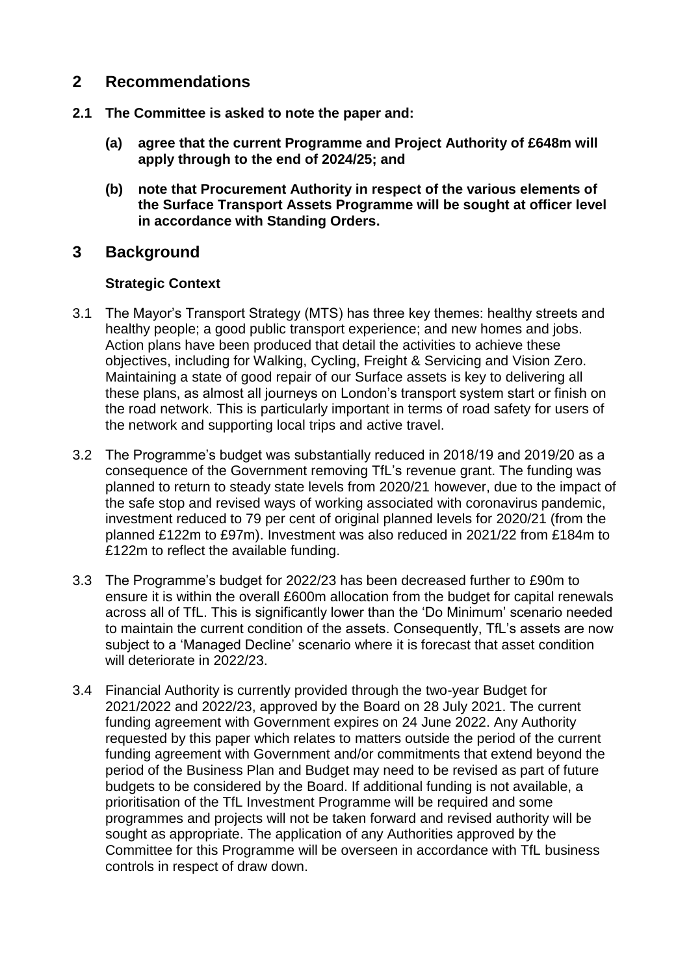## **2 Recommendations**

- **2.1 The Committee is asked to note the paper and:**
	- **(a) agree that the current Programme and Project Authority of £648m will apply through to the end of 2024/25; and**
	- **(b) note that Procurement Authority in respect of the various elements of the Surface Transport Assets Programme will be sought at officer level in accordance with Standing Orders.**

## **3 Background**

#### **Strategic Context**

- 3.1 The Mayor's Transport Strategy (MTS) has three key themes: healthy streets and healthy people; a good public transport experience; and new homes and jobs. Action plans have been produced that detail the activities to achieve these objectives, including for Walking, Cycling, Freight & Servicing and Vision Zero. Maintaining a state of good repair of our Surface assets is key to delivering all these plans, as almost all journeys on London's transport system start or finish on the road network. This is particularly important in terms of road safety for users of the network and supporting local trips and active travel.
- 3.2 The Programme's budget was substantially reduced in 2018/19 and 2019/20 as a consequence of the Government removing TfL's revenue grant. The funding was planned to return to steady state levels from 2020/21 however, due to the impact of the safe stop and revised ways of working associated with coronavirus pandemic, investment reduced to 79 per cent of original planned levels for 2020/21 (from the planned £122m to £97m). Investment was also reduced in 2021/22 from £184m to £122m to reflect the available funding.
- 3.3 The Programme's budget for 2022/23 has been decreased further to £90m to ensure it is within the overall £600m allocation from the budget for capital renewals across all of TfL. This is significantly lower than the 'Do Minimum' scenario needed to maintain the current condition of the assets. Consequently, TfL's assets are now subject to a 'Managed Decline' scenario where it is forecast that asset condition will deteriorate in 2022/23.
- 3.4 Financial Authority is currently provided through the two-year Budget for 2021/2022 and 2022/23, approved by the Board on 28 July 2021. The current funding agreement with Government expires on 24 June 2022. Any Authority requested by this paper which relates to matters outside the period of the current funding agreement with Government and/or commitments that extend beyond the period of the Business Plan and Budget may need to be revised as part of future budgets to be considered by the Board. If additional funding is not available, a prioritisation of the TfL Investment Programme will be required and some programmes and projects will not be taken forward and revised authority will be sought as appropriate. The application of any Authorities approved by the Committee for this Programme will be overseen in accordance with TfL business controls in respect of draw down.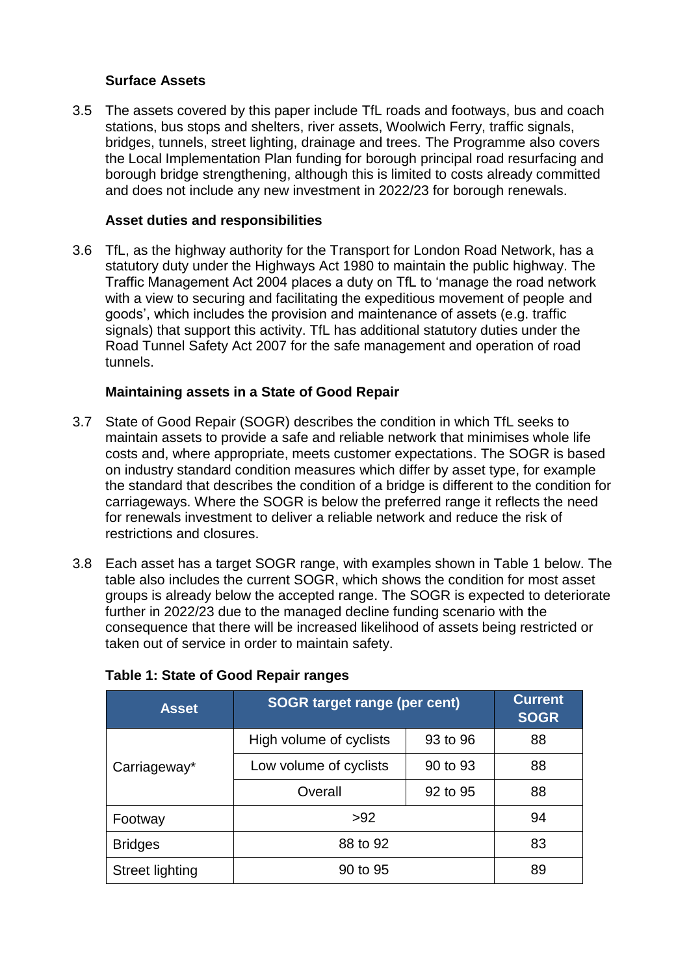#### **Surface Assets**

3.5 The assets covered by this paper include TfL roads and footways, bus and coach stations, bus stops and shelters, river assets, Woolwich Ferry, traffic signals, bridges, tunnels, street lighting, drainage and trees. The Programme also covers the Local Implementation Plan funding for borough principal road resurfacing and borough bridge strengthening, although this is limited to costs already committed and does not include any new investment in 2022/23 for borough renewals.

#### **Asset duties and responsibilities**

3.6 TfL, as the highway authority for the Transport for London Road Network, has a statutory duty under the Highways Act 1980 to maintain the public highway. The Traffic Management Act 2004 places a duty on TfL to 'manage the road network with a view to securing and facilitating the expeditious movement of people and goods', which includes the provision and maintenance of assets (e.g. traffic signals) that support this activity. TfL has additional statutory duties under the Road Tunnel Safety Act 2007 for the safe management and operation of road tunnels.

#### **Maintaining assets in a State of Good Repair**

- 3.7 State of Good Repair (SOGR) describes the condition in which TfL seeks to maintain assets to provide a safe and reliable network that minimises whole life costs and, where appropriate, meets customer expectations. The SOGR is based on industry standard condition measures which differ by asset type, for example the standard that describes the condition of a bridge is different to the condition for carriageways. Where the SOGR is below the preferred range it reflects the need for renewals investment to deliver a reliable network and reduce the risk of restrictions and closures.
- 3.8 Each asset has a target SOGR range, with examples shown in Table 1 below. The table also includes the current SOGR, which shows the condition for most asset groups is already below the accepted range. The SOGR is expected to deteriorate further in 2022/23 due to the managed decline funding scenario with the consequence that there will be increased likelihood of assets being restricted or taken out of service in order to maintain safety.

| <b>Asset</b>           | <b>SOGR target range (per cent)</b> | <b>Current</b><br><b>SOGR</b> |    |
|------------------------|-------------------------------------|-------------------------------|----|
|                        | High volume of cyclists             | 93 to 96                      | 88 |
| Carriageway*           | Low volume of cyclists              | 90 to 93                      | 88 |
|                        | Overall                             | 92 to 95                      | 88 |
| Footway                | >92                                 |                               | 94 |
| <b>Bridges</b>         | 88 to 92                            | 83                            |    |
| <b>Street lighting</b> | 90 to 95                            | 89                            |    |

#### **Table 1: State of Good Repair ranges**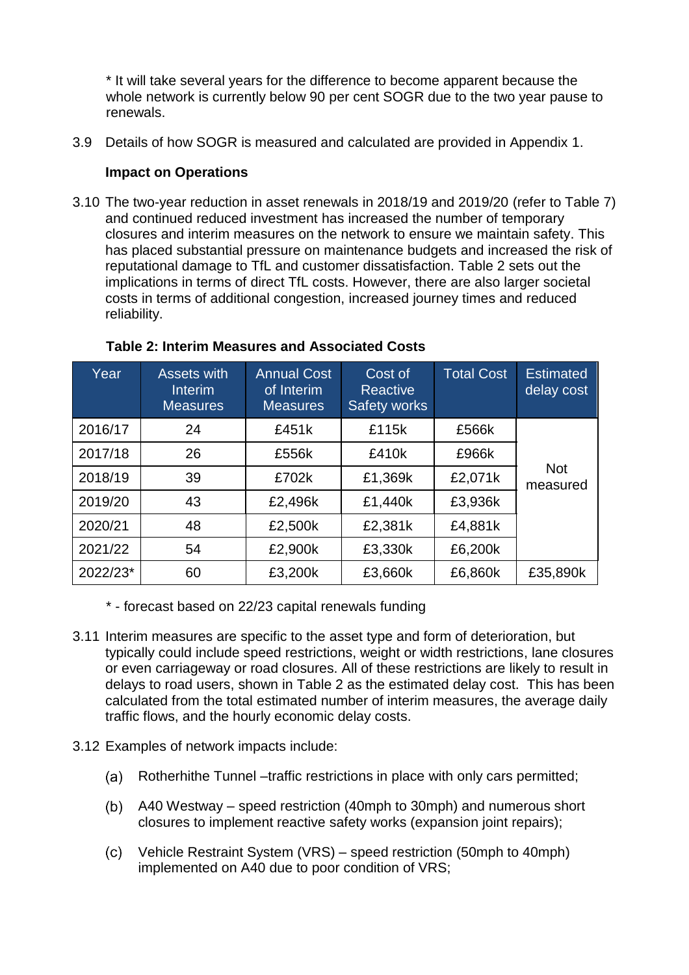\* It will take several years for the difference to become apparent because the whole network is currently below 90 per cent SOGR due to the two year pause to renewals.

3.9 Details of how SOGR is measured and calculated are provided in Appendix 1.

#### **Impact on Operations**

3.10 The two-year reduction in asset renewals in 2018/19 and 2019/20 (refer to Table 7) and continued reduced investment has increased the number of temporary closures and interim measures on the network to ensure we maintain safety. This has placed substantial pressure on maintenance budgets and increased the risk of reputational damage to TfL and customer dissatisfaction. Table 2 sets out the implications in terms of direct TfL costs. However, there are also larger societal costs in terms of additional congestion, increased journey times and reduced reliability.

| Year     | <b>Assets with</b><br>Interim<br><b>Measures</b> | <b>Annual Cost</b><br>of Interim<br><b>Measures</b> | Cost of<br>Reactive<br><b>Safety works</b> | <b>Total Cost</b> | <b>Estimated</b><br>delay cost |
|----------|--------------------------------------------------|-----------------------------------------------------|--------------------------------------------|-------------------|--------------------------------|
| 2016/17  | 24                                               | £451k                                               | £115k                                      | £566k             |                                |
| 2017/18  | 26                                               | £556k                                               | £410k                                      | £966k             |                                |
| 2018/19  | 39                                               | £702k                                               | £1,369k                                    | £2,071k           | <b>Not</b><br>measured         |
| 2019/20  | 43                                               | £2,496k                                             | £1,440k                                    | £3,936k           |                                |
| 2020/21  | 48                                               | £2,500k                                             | £2,381k                                    | £4,881k           |                                |
| 2021/22  | 54                                               | £2,900k                                             | £3,330k                                    | £6,200k           |                                |
| 2022/23* | 60                                               | £3,200k                                             | £3,660k                                    | £6,860k           | £35,890k                       |

#### **Table 2: Interim Measures and Associated Costs**

- \* forecast based on 22/23 capital renewals funding
- 3.11 Interim measures are specific to the asset type and form of deterioration, but typically could include speed restrictions, weight or width restrictions, lane closures or even carriageway or road closures. All of these restrictions are likely to result in delays to road users, shown in Table 2 as the estimated delay cost. This has been calculated from the total estimated number of interim measures, the average daily traffic flows, and the hourly economic delay costs.
- 3.12 Examples of network impacts include:
	- (a) Rotherhithe Tunnel –traffic restrictions in place with only cars permitted;
	- A40 Westway speed restriction (40mph to 30mph) and numerous short closures to implement reactive safety works (expansion joint repairs);
	- $(c)$ Vehicle Restraint System (VRS) – speed restriction (50mph to 40mph) implemented on A40 due to poor condition of VRS;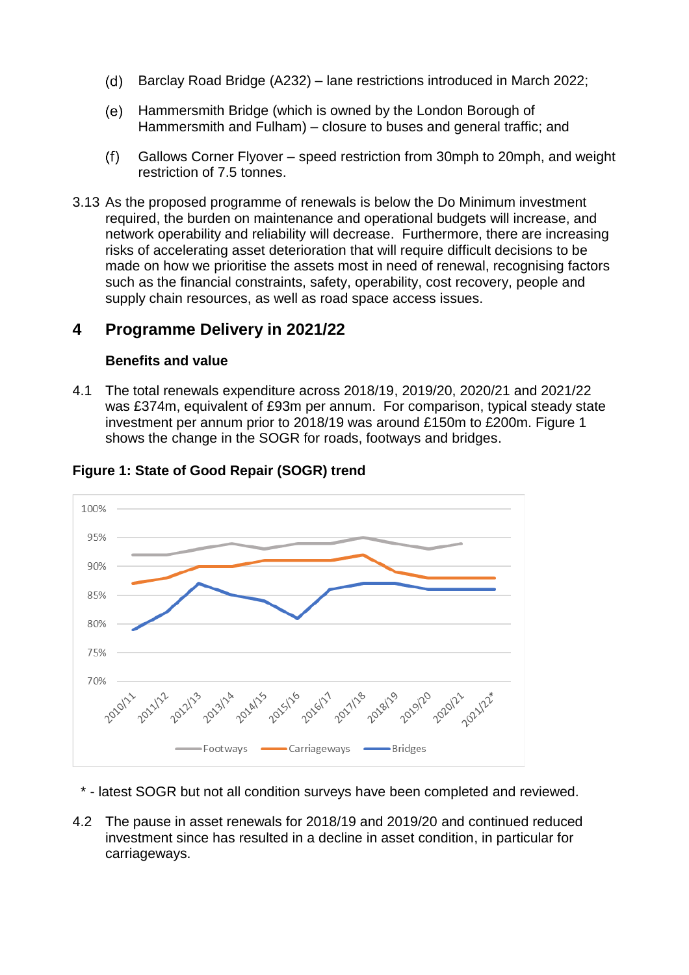- Barclay Road Bridge (A232) lane restrictions introduced in March 2022; (d)
- (e) Hammersmith Bridge (which is owned by the London Borough of Hammersmith and Fulham) – closure to buses and general traffic; and
- $(f)$ Gallows Corner Flyover – speed restriction from 30mph to 20mph, and weight restriction of 7.5 tonnes.
- 3.13 As the proposed programme of renewals is below the Do Minimum investment required, the burden on maintenance and operational budgets will increase, and network operability and reliability will decrease. Furthermore, there are increasing risks of accelerating asset deterioration that will require difficult decisions to be made on how we prioritise the assets most in need of renewal, recognising factors such as the financial constraints, safety, operability, cost recovery, people and supply chain resources, as well as road space access issues.

## **4 Programme Delivery in 2021/22**

#### **Benefits and value**

4.1 The total renewals expenditure across 2018/19, 2019/20, 2020/21 and 2021/22 was £374m, equivalent of £93m per annum. For comparison, typical steady state investment per annum prior to 2018/19 was around £150m to £200m. Figure 1 shows the change in the SOGR for roads, footways and bridges.



## **Figure 1: State of Good Repair (SOGR) trend**

- \* latest SOGR but not all condition surveys have been completed and reviewed.
- 4.2 The pause in asset renewals for 2018/19 and 2019/20 and continued reduced investment since has resulted in a decline in asset condition, in particular for carriageways.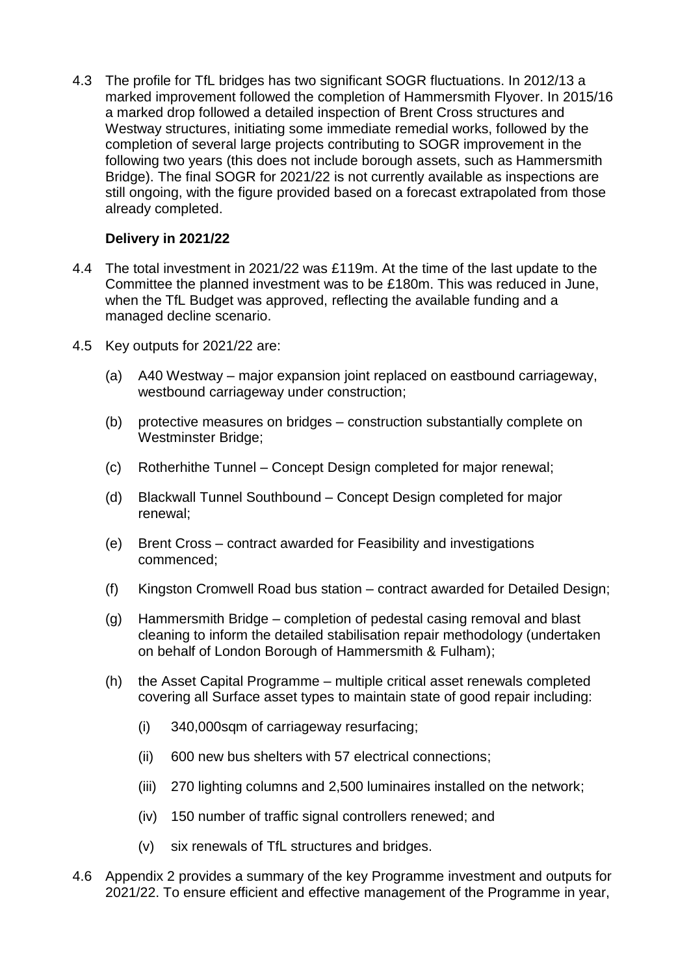4.3 The profile for TfL bridges has two significant SOGR fluctuations. In 2012/13 a marked improvement followed the completion of Hammersmith Flyover. In 2015/16 a marked drop followed a detailed inspection of Brent Cross structures and Westway structures, initiating some immediate remedial works, followed by the completion of several large projects contributing to SOGR improvement in the following two years (this does not include borough assets, such as Hammersmith Bridge). The final SOGR for 2021/22 is not currently available as inspections are still ongoing, with the figure provided based on a forecast extrapolated from those already completed.

#### **Delivery in 2021/22**

- 4.4 The total investment in 2021/22 was £119m. At the time of the last update to the Committee the planned investment was to be £180m. This was reduced in June, when the TfL Budget was approved, reflecting the available funding and a managed decline scenario.
- 4.5 Key outputs for 2021/22 are:
	- (a) A40 Westway major expansion joint replaced on eastbound carriageway, westbound carriageway under construction;
	- (b) protective measures on bridges construction substantially complete on Westminster Bridge;
	- (c) Rotherhithe Tunnel Concept Design completed for major renewal;
	- (d) Blackwall Tunnel Southbound Concept Design completed for major renewal;
	- (e) Brent Cross contract awarded for Feasibility and investigations commenced;
	- (f) Kingston Cromwell Road bus station contract awarded for Detailed Design;
	- (g) Hammersmith Bridge completion of pedestal casing removal and blast cleaning to inform the detailed stabilisation repair methodology (undertaken on behalf of London Borough of Hammersmith & Fulham);
	- (h) the Asset Capital Programme multiple critical asset renewals completed covering all Surface asset types to maintain state of good repair including:
		- (i) 340,000sqm of carriageway resurfacing;
		- (ii) 600 new bus shelters with 57 electrical connections;
		- (iii) 270 lighting columns and 2,500 luminaires installed on the network;
		- (iv) 150 number of traffic signal controllers renewed; and
		- (v) six renewals of TfL structures and bridges.
- 4.6 Appendix 2 provides a summary of the key Programme investment and outputs for 2021/22. To ensure efficient and effective management of the Programme in year,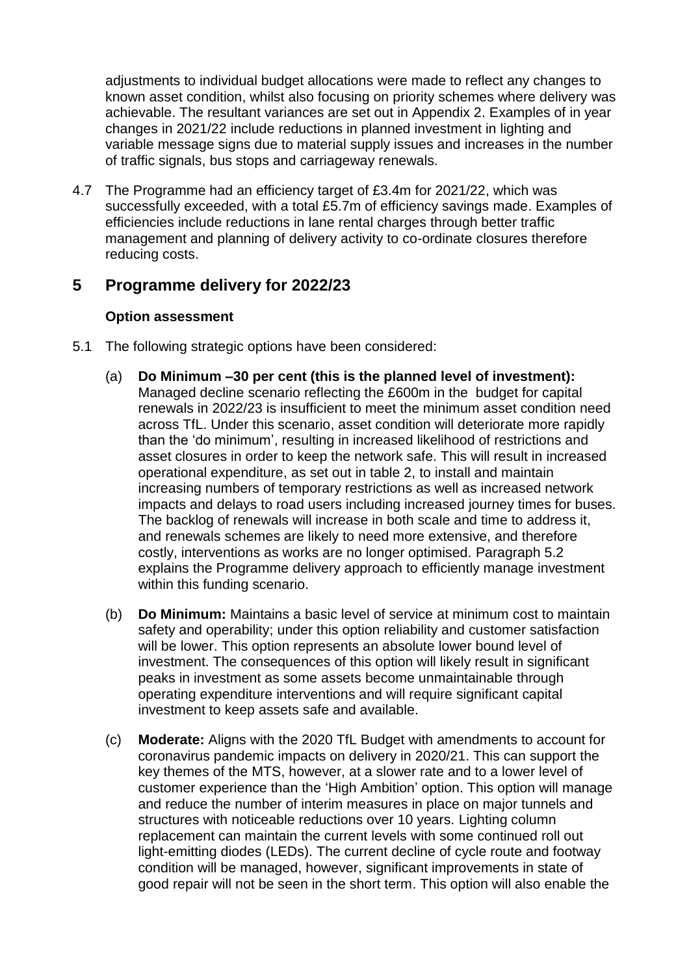adjustments to individual budget allocations were made to reflect any changes to known asset condition, whilst also focusing on priority schemes where delivery was achievable. The resultant variances are set out in Appendix 2. Examples of in year changes in 2021/22 include reductions in planned investment in lighting and variable message signs due to material supply issues and increases in the number of traffic signals, bus stops and carriageway renewals.

4.7 The Programme had an efficiency target of £3.4m for 2021/22, which was successfully exceeded, with a total £5.7m of efficiency savings made. Examples of efficiencies include reductions in lane rental charges through better traffic management and planning of delivery activity to co-ordinate closures therefore reducing costs.

## **5 Programme delivery for 2022/23**

#### **Option assessment**

- 5.1 The following strategic options have been considered:
	- (a) **Do Minimum –30 per cent (this is the planned level of investment):** Managed decline scenario reflecting the £600m in the budget for capital renewals in 2022/23 is insufficient to meet the minimum asset condition need across TfL. Under this scenario, asset condition will deteriorate more rapidly than the 'do minimum', resulting in increased likelihood of restrictions and asset closures in order to keep the network safe. This will result in increased operational expenditure, as set out in table 2, to install and maintain increasing numbers of temporary restrictions as well as increased network impacts and delays to road users including increased journey times for buses. The backlog of renewals will increase in both scale and time to address it, and renewals schemes are likely to need more extensive, and therefore costly, interventions as works are no longer optimised. Paragraph 5.2 explains the Programme delivery approach to efficiently manage investment within this funding scenario.
	- (b) **Do Minimum:** Maintains a basic level of service at minimum cost to maintain safety and operability; under this option reliability and customer satisfaction will be lower. This option represents an absolute lower bound level of investment. The consequences of this option will likely result in significant peaks in investment as some assets become unmaintainable through operating expenditure interventions and will require significant capital investment to keep assets safe and available.
	- (c) **Moderate:** Aligns with the 2020 TfL Budget with amendments to account for coronavirus pandemic impacts on delivery in 2020/21. This can support the key themes of the MTS, however, at a slower rate and to a lower level of customer experience than the 'High Ambition' option. This option will manage and reduce the number of interim measures in place on major tunnels and structures with noticeable reductions over 10 years. Lighting column replacement can maintain the current levels with some continued roll out light-emitting diodes (LEDs). The current decline of cycle route and footway condition will be managed, however, significant improvements in state of good repair will not be seen in the short term. This option will also enable the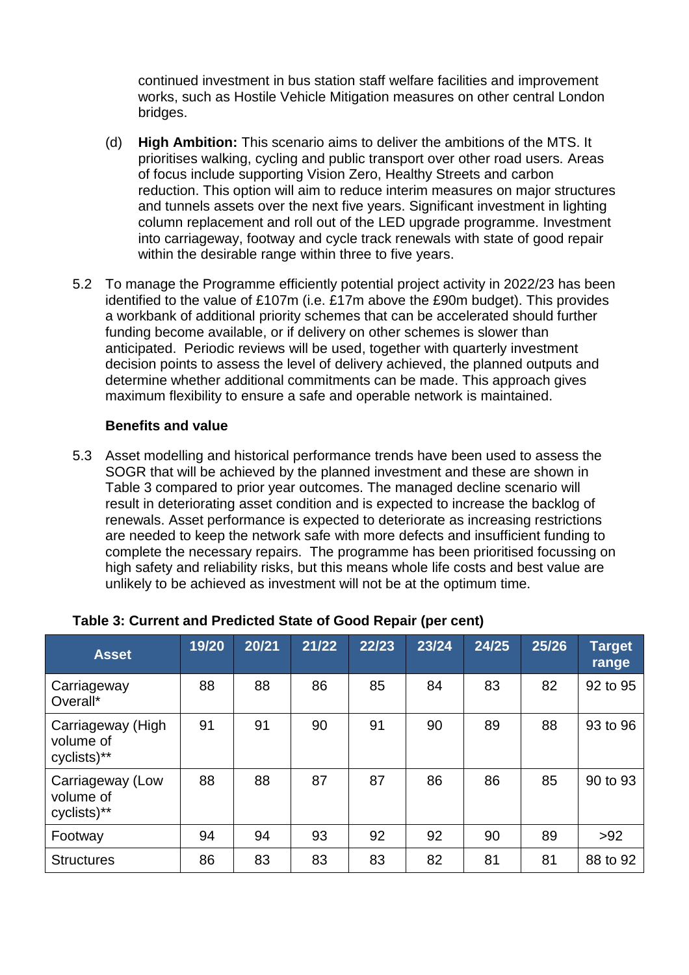continued investment in bus station staff welfare facilities and improvement works, such as Hostile Vehicle Mitigation measures on other central London bridges.

- (d) **High Ambition:** This scenario aims to deliver the ambitions of the MTS. It prioritises walking, cycling and public transport over other road users. Areas of focus include supporting Vision Zero, Healthy Streets and carbon reduction. This option will aim to reduce interim measures on major structures and tunnels assets over the next five years. Significant investment in lighting column replacement and roll out of the LED upgrade programme. Investment into carriageway, footway and cycle track renewals with state of good repair within the desirable range within three to five years.
- 5.2 To manage the Programme efficiently potential project activity in 2022/23 has been identified to the value of £107m (i.e. £17m above the £90m budget). This provides a workbank of additional priority schemes that can be accelerated should further funding become available, or if delivery on other schemes is slower than anticipated. Periodic reviews will be used, together with quarterly investment decision points to assess the level of delivery achieved, the planned outputs and determine whether additional commitments can be made. This approach gives maximum flexibility to ensure a safe and operable network is maintained.

#### **Benefits and value**

5.3 Asset modelling and historical performance trends have been used to assess the SOGR that will be achieved by the planned investment and these are shown in Table 3 compared to prior year outcomes. The managed decline scenario will result in deteriorating asset condition and is expected to increase the backlog of renewals. Asset performance is expected to deteriorate as increasing restrictions are needed to keep the network safe with more defects and insufficient funding to complete the necessary repairs. The programme has been prioritised focussing on high safety and reliability risks, but this means whole life costs and best value are unlikely to be achieved as investment will not be at the optimum time.

| <b>Asset</b>                                  | 19/20 | 20/21 | 21/22 | 22/23 | 23/24 | 24/25 | 25/26 | <b>Target</b><br>range |
|-----------------------------------------------|-------|-------|-------|-------|-------|-------|-------|------------------------|
| Carriageway<br>Overall*                       | 88    | 88    | 86    | 85    | 84    | 83    | 82    | 92 to 95               |
| Carriageway (High<br>volume of<br>cyclists)** | 91    | 91    | 90    | 91    | 90    | 89    | 88    | 93 to 96               |
| Carriageway (Low<br>volume of<br>cyclists)**  | 88    | 88    | 87    | 87    | 86    | 86    | 85    | 90 to 93               |
| Footway                                       | 94    | 94    | 93    | 92    | 92    | 90    | 89    | $>92$                  |
| <b>Structures</b>                             | 86    | 83    | 83    | 83    | 82    | 81    | 81    | 88 to 92               |

#### **Table 3: Current and Predicted State of Good Repair (per cent)**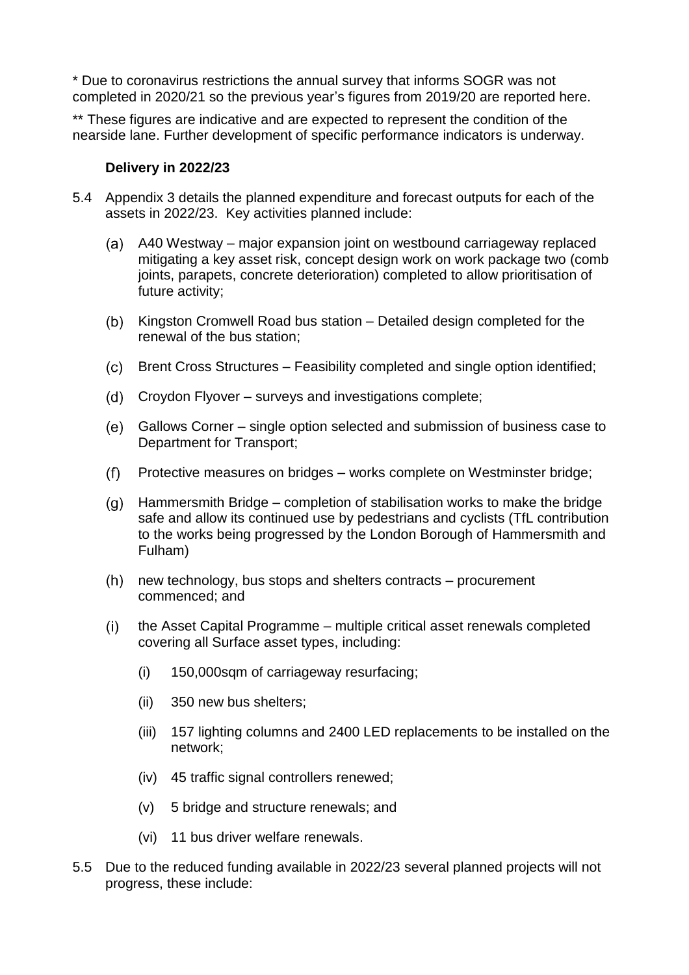\* Due to coronavirus restrictions the annual survey that informs SOGR was not completed in 2020/21 so the previous year's figures from 2019/20 are reported here.

\*\* These figures are indicative and are expected to represent the condition of the nearside lane. Further development of specific performance indicators is underway.

#### **Delivery in 2022/23**

- 5.4 Appendix 3 details the planned expenditure and forecast outputs for each of the assets in 2022/23. Key activities planned include:
	- A40 Westway major expansion joint on westbound carriageway replaced mitigating a key asset risk, concept design work on work package two (comb joints, parapets, concrete deterioration) completed to allow prioritisation of future activity;
	- (b) Kingston Cromwell Road bus station Detailed design completed for the renewal of the bus station;
	- Brent Cross Structures Feasibility completed and single option identified;
	- (d) Croydon Flyover surveys and investigations complete;
	- Gallows Corner single option selected and submission of business case to Department for Transport;
	- Protective measures on bridges works complete on Westminster bridge;
	- Hammersmith Bridge completion of stabilisation works to make the bridge safe and allow its continued use by pedestrians and cyclists (TfL contribution to the works being progressed by the London Borough of Hammersmith and Fulham)
	- $(h)$  new technology, bus stops and shelters contracts procurement commenced; and
	- $(i)$ the Asset Capital Programme – multiple critical asset renewals completed covering all Surface asset types, including:
		- (i) 150,000sqm of carriageway resurfacing;
		- (ii) 350 new bus shelters;
		- (iii) 157 lighting columns and 2400 LED replacements to be installed on the network;
		- (iv) 45 traffic signal controllers renewed;
		- (v) 5 bridge and structure renewals; and
		- (vi) 11 bus driver welfare renewals.
- 5.5 Due to the reduced funding available in 2022/23 several planned projects will not progress, these include: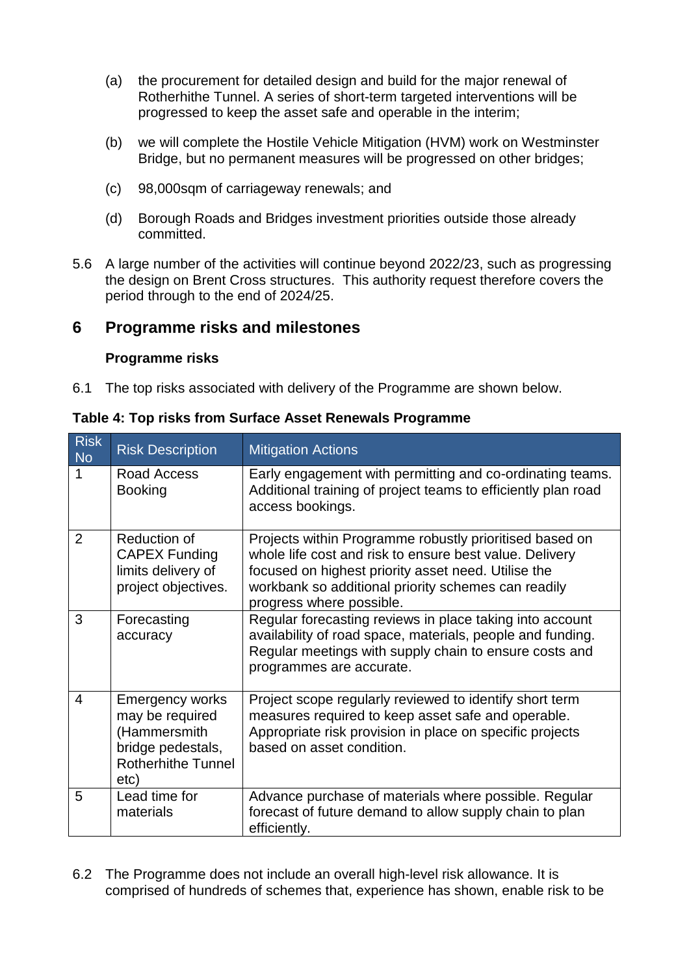- (a) the procurement for detailed design and build for the major renewal of Rotherhithe Tunnel. A series of short-term targeted interventions will be progressed to keep the asset safe and operable in the interim;
- (b) we will complete the Hostile Vehicle Mitigation (HVM) work on Westminster Bridge, but no permanent measures will be progressed on other bridges;
- (c) 98,000sqm of carriageway renewals; and
- (d) Borough Roads and Bridges investment priorities outside those already committed.
- 5.6 A large number of the activities will continue beyond 2022/23, such as progressing the design on Brent Cross structures. This authority request therefore covers the period through to the end of 2024/25.

## **6 Programme risks and milestones**

#### **Programme risks**

6.1 The top risks associated with delivery of the Programme are shown below.

| <b>Risk</b><br><b>No</b> | <b>Risk Description</b>                                                                                             | <b>Mitigation Actions</b>                                                                                                                                                                                                                                    |
|--------------------------|---------------------------------------------------------------------------------------------------------------------|--------------------------------------------------------------------------------------------------------------------------------------------------------------------------------------------------------------------------------------------------------------|
|                          | Road Access<br><b>Booking</b>                                                                                       | Early engagement with permitting and co-ordinating teams.<br>Additional training of project teams to efficiently plan road<br>access bookings.                                                                                                               |
| 2                        | Reduction of<br><b>CAPEX Funding</b><br>limits delivery of<br>project objectives.                                   | Projects within Programme robustly prioritised based on<br>whole life cost and risk to ensure best value. Delivery<br>focused on highest priority asset need. Utilise the<br>workbank so additional priority schemes can readily<br>progress where possible. |
| 3                        | Forecasting<br>accuracy                                                                                             | Regular forecasting reviews in place taking into account<br>availability of road space, materials, people and funding.<br>Regular meetings with supply chain to ensure costs and<br>programmes are accurate.                                                 |
| $\overline{4}$           | <b>Emergency works</b><br>may be required<br>(Hammersmith<br>bridge pedestals,<br><b>Rotherhithe Tunnel</b><br>etc) | Project scope regularly reviewed to identify short term<br>measures required to keep asset safe and operable.<br>Appropriate risk provision in place on specific projects<br>based on asset condition.                                                       |
| 5                        | Lead time for<br>materials                                                                                          | Advance purchase of materials where possible. Regular<br>forecast of future demand to allow supply chain to plan<br>efficiently.                                                                                                                             |

**Table 4: Top risks from Surface Asset Renewals Programme**

6.2 The Programme does not include an overall high-level risk allowance. It is comprised of hundreds of schemes that, experience has shown, enable risk to be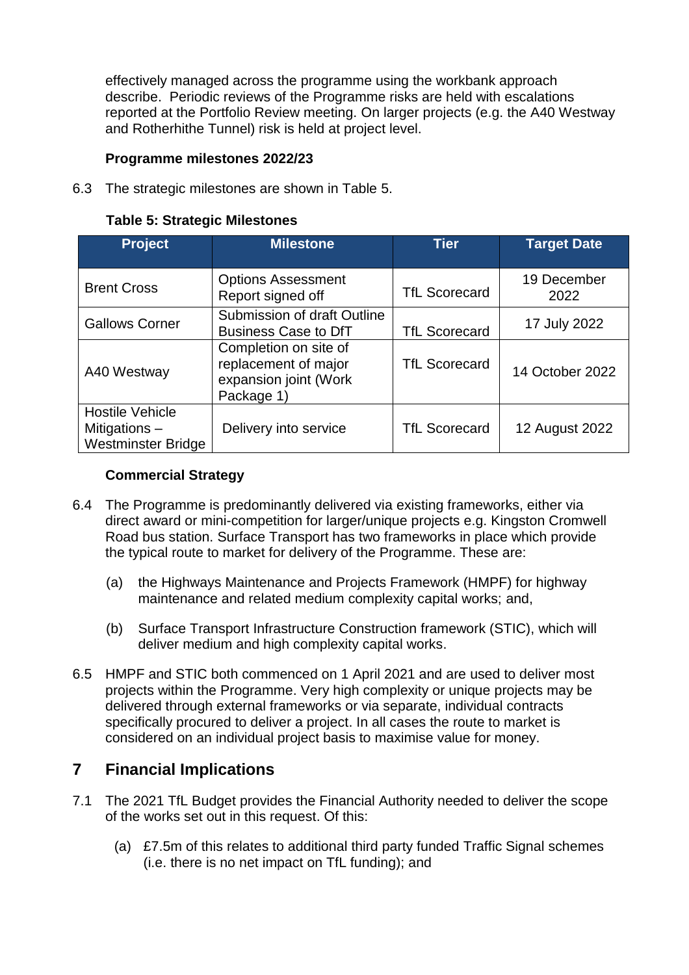effectively managed across the programme using the workbank approach describe. Periodic reviews of the Programme risks are held with escalations reported at the Portfolio Review meeting. On larger projects (e.g. the A40 Westway and Rotherhithe Tunnel) risk is held at project level.

## **Programme milestones 2022/23**

6.3 The strategic milestones are shown in Table 5.

| <b>Project</b>                                                       | <b>Milestone</b>                                                                     | <b>Tier</b>          | <b>Target Date</b>  |
|----------------------------------------------------------------------|--------------------------------------------------------------------------------------|----------------------|---------------------|
| <b>Brent Cross</b>                                                   | <b>Options Assessment</b><br>Report signed off                                       | <b>TfL Scorecard</b> | 19 December<br>2022 |
| <b>Gallows Corner</b>                                                | Submission of draft Outline<br><b>Business Case to DfT</b>                           | <b>TfL Scorecard</b> | 17 July 2022        |
| A40 Westway                                                          | Completion on site of<br>replacement of major<br>expansion joint (Work<br>Package 1) | <b>TfL Scorecard</b> | 14 October 2022     |
| <b>Hostile Vehicle</b><br>Mitigations -<br><b>Westminster Bridge</b> | Delivery into service                                                                | <b>TfL Scorecard</b> | 12 August 2022      |

#### **Table 5: Strategic Milestones**

#### **Commercial Strategy**

- 6.4 The Programme is predominantly delivered via existing frameworks, either via direct award or mini-competition for larger/unique projects e.g. Kingston Cromwell Road bus station. Surface Transport has two frameworks in place which provide the typical route to market for delivery of the Programme. These are:
	- (a) the Highways Maintenance and Projects Framework (HMPF) for highway maintenance and related medium complexity capital works; and,
	- (b) Surface Transport Infrastructure Construction framework (STIC), which will deliver medium and high complexity capital works.
- 6.5 HMPF and STIC both commenced on 1 April 2021 and are used to deliver most projects within the Programme. Very high complexity or unique projects may be delivered through external frameworks or via separate, individual contracts specifically procured to deliver a project. In all cases the route to market is considered on an individual project basis to maximise value for money.

# **7 Financial Implications**

- 7.1 The 2021 TfL Budget provides the Financial Authority needed to deliver the scope of the works set out in this request. Of this:
	- (a) £7.5m of this relates to additional third party funded Traffic Signal schemes (i.e. there is no net impact on TfL funding); and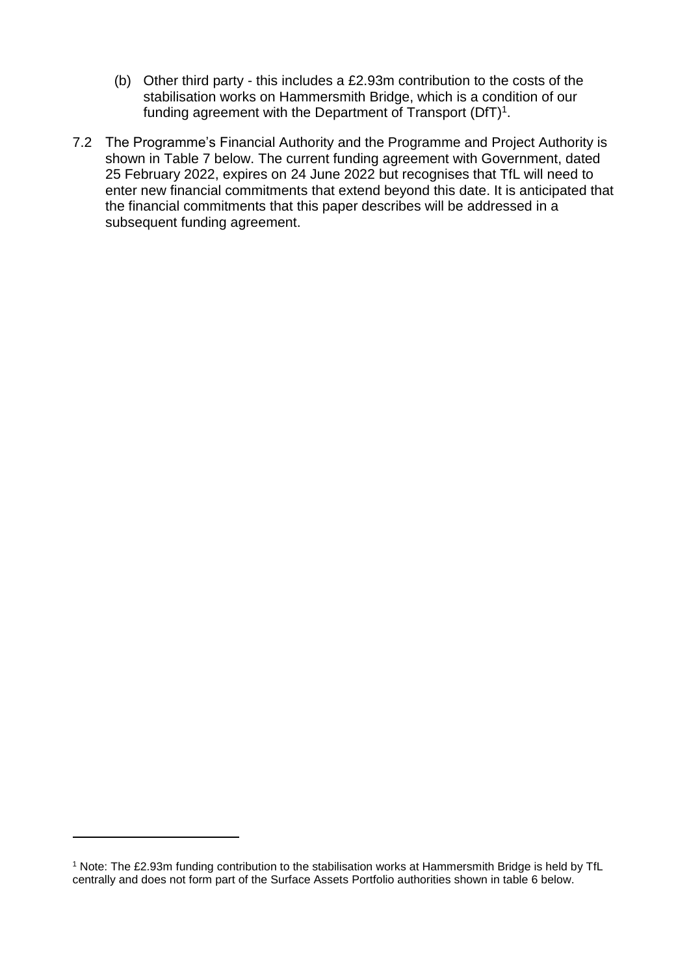- (b) Other third party this includes a £2.93m contribution to the costs of the stabilisation works on Hammersmith Bridge, which is a condition of our funding agreement with the Department of Transport (DfT)<sup>1</sup>.
- 7.2 The Programme's Financial Authority and the Programme and Project Authority is shown in Table 7 below. The current funding agreement with Government, dated 25 February 2022, expires on 24 June 2022 but recognises that TfL will need to enter new financial commitments that extend beyond this date. It is anticipated that the financial commitments that this paper describes will be addressed in a subsequent funding agreement.

l

<sup>1</sup> Note: The £2.93m funding contribution to the stabilisation works at Hammersmith Bridge is held by TfL centrally and does not form part of the Surface Assets Portfolio authorities shown in table 6 below.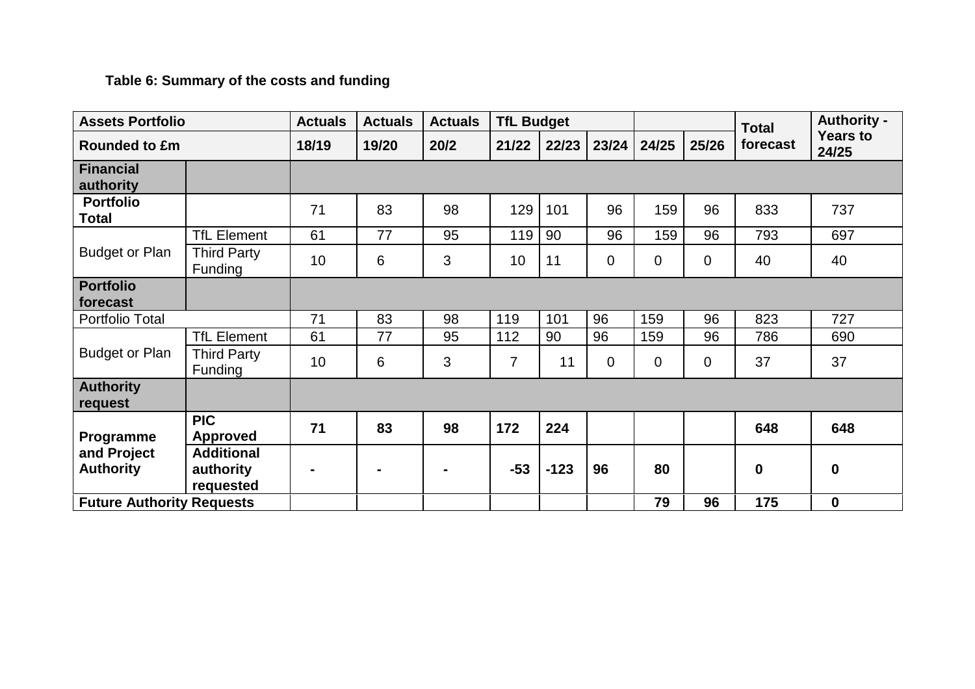# **Table 6: Summary of the costs and funding**

| <b>Assets Portfolio</b>          |                                             | <b>Actuals</b> | <b>Actuals</b> | <b>Actuals</b> |                | <b>TfL Budget</b> |                |             |       | <b>Total</b> | <b>Authority -</b>       |
|----------------------------------|---------------------------------------------|----------------|----------------|----------------|----------------|-------------------|----------------|-------------|-------|--------------|--------------------------|
| <b>Rounded to £m</b>             |                                             | 18/19          | 19/20          | 20/2           | 21/22          | 22/23             | 23/24          | 24/25       | 25/26 | forecast     | <b>Years to</b><br>24/25 |
| <b>Financial</b><br>authority    |                                             |                |                |                |                |                   |                |             |       |              |                          |
| <b>Portfolio</b><br><b>Total</b> |                                             | 71             | 83             | 98             | 129            | 101               | 96             | 159         | 96    | 833          | 737                      |
|                                  | <b>TfL Element</b>                          | 61             | 77             | 95             | 119            | 90                | 96             | 159         | 96    | 793          | 697                      |
| <b>Budget or Plan</b>            | <b>Third Party</b><br>Funding               | 10             | 6              | 3              | 10             | 11                | $\mathbf 0$    | $\mathbf 0$ | 0     | 40           | 40                       |
| <b>Portfolio</b><br>forecast     |                                             |                |                |                |                |                   |                |             |       |              |                          |
| Portfolio Total                  |                                             | 71             | 83             | 98             | 119            | 101               | 96             | 159         | 96    | 823          | 727                      |
|                                  | <b>TfL Element</b>                          | 61             | 77             | 95             | 112            | 90                | 96             | 159         | 96    | 786          | 690                      |
| <b>Budget or Plan</b>            | <b>Third Party</b><br>Funding               | 10             | 6              | 3              | $\overline{7}$ | 11                | $\overline{0}$ | $\mathbf 0$ | 0     | 37           | 37                       |
| <b>Authority</b><br>request      |                                             |                |                |                |                |                   |                |             |       |              |                          |
| Programme                        | <b>PIC</b><br><b>Approved</b>               | 71             | 83             | 98             | 172            | 224               |                |             |       | 648          | 648                      |
| and Project<br><b>Authority</b>  | <b>Additional</b><br>authority<br>requested |                |                |                | $-53$          | $-123$            | 96             | 80          |       | $\bf{0}$     | $\boldsymbol{0}$         |
| <b>Future Authority Requests</b> |                                             |                |                |                |                |                   |                | 79          | 96    | 175          | $\boldsymbol{0}$         |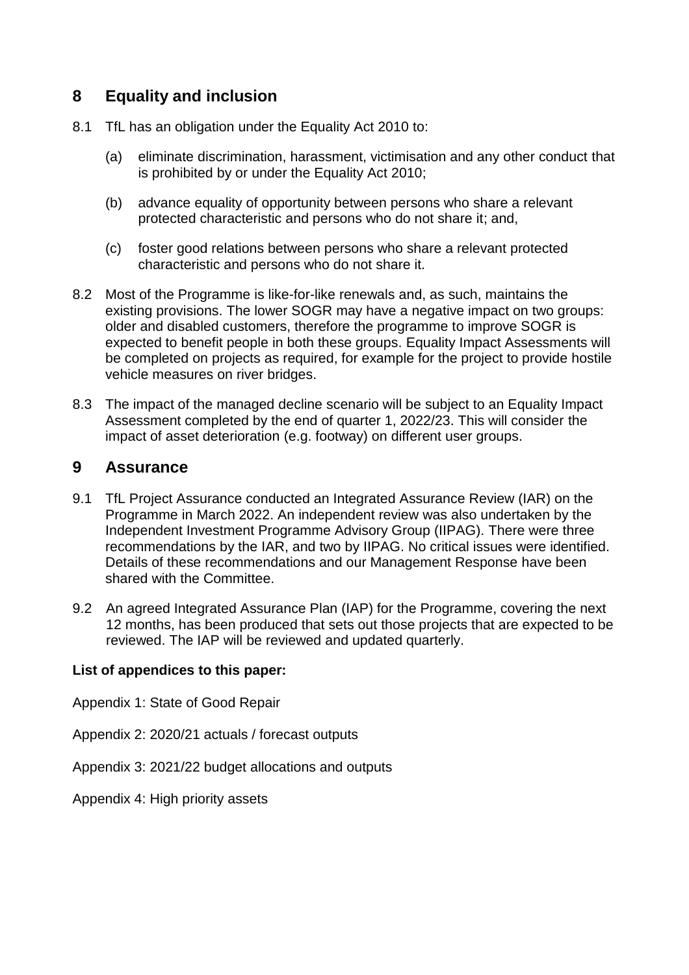# **8 Equality and inclusion**

- 8.1 TfL has an obligation under the Equality Act 2010 to:
	- (a) eliminate discrimination, harassment, victimisation and any other conduct that is prohibited by or under the Equality Act 2010;
	- (b) advance equality of opportunity between persons who share a relevant protected characteristic and persons who do not share it; and,
	- (c) foster good relations between persons who share a relevant protected characteristic and persons who do not share it.
- 8.2 Most of the Programme is like-for-like renewals and, as such, maintains the existing provisions. The lower SOGR may have a negative impact on two groups: older and disabled customers, therefore the programme to improve SOGR is expected to benefit people in both these groups. Equality Impact Assessments will be completed on projects as required, for example for the project to provide hostile vehicle measures on river bridges.
- 8.3 The impact of the managed decline scenario will be subject to an Equality Impact Assessment completed by the end of quarter 1, 2022/23. This will consider the impact of asset deterioration (e.g. footway) on different user groups.

## **9 Assurance**

- 9.1 TfL Project Assurance conducted an Integrated Assurance Review (IAR) on the Programme in March 2022. An independent review was also undertaken by the Independent Investment Programme Advisory Group (IIPAG). There were three recommendations by the IAR, and two by IIPAG. No critical issues were identified. Details of these recommendations and our Management Response have been shared with the Committee.
- 9.2 An agreed Integrated Assurance Plan (IAP) for the Programme, covering the next 12 months, has been produced that sets out those projects that are expected to be reviewed. The IAP will be reviewed and updated quarterly.

#### **List of appendices to this paper:**

Appendix 1: State of Good Repair

Appendix 2: 2020/21 actuals / forecast outputs

Appendix 3: 2021/22 budget allocations and outputs

Appendix 4: High priority assets